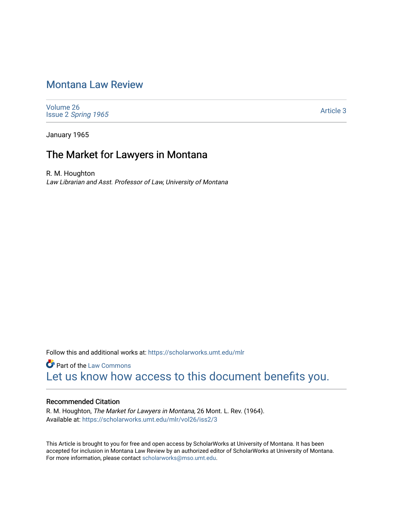## [Montana Law Review](https://scholarworks.umt.edu/mlr)

[Volume 26](https://scholarworks.umt.edu/mlr/vol26) Issue 2 [Spring 1965](https://scholarworks.umt.edu/mlr/vol26/iss2) 

[Article 3](https://scholarworks.umt.edu/mlr/vol26/iss2/3) 

January 1965

## The Market for Lawyers in Montana

R. M. Houghton Law Librarian and Asst. Professor of Law, University of Montana

Follow this and additional works at: [https://scholarworks.umt.edu/mlr](https://scholarworks.umt.edu/mlr?utm_source=scholarworks.umt.edu%2Fmlr%2Fvol26%2Fiss2%2F3&utm_medium=PDF&utm_campaign=PDFCoverPages) 

**Part of the [Law Commons](http://network.bepress.com/hgg/discipline/578?utm_source=scholarworks.umt.edu%2Fmlr%2Fvol26%2Fiss2%2F3&utm_medium=PDF&utm_campaign=PDFCoverPages)** [Let us know how access to this document benefits you.](https://goo.gl/forms/s2rGfXOLzz71qgsB2) 

#### Recommended Citation

R. M. Houghton, The Market for Lawyers in Montana, 26 Mont. L. Rev. (1964). Available at: [https://scholarworks.umt.edu/mlr/vol26/iss2/3](https://scholarworks.umt.edu/mlr/vol26/iss2/3?utm_source=scholarworks.umt.edu%2Fmlr%2Fvol26%2Fiss2%2F3&utm_medium=PDF&utm_campaign=PDFCoverPages) 

This Article is brought to you for free and open access by ScholarWorks at University of Montana. It has been accepted for inclusion in Montana Law Review by an authorized editor of ScholarWorks at University of Montana. For more information, please contact [scholarworks@mso.umt.edu.](mailto:scholarworks@mso.umt.edu)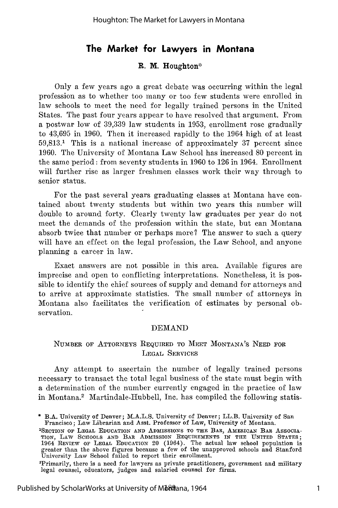### **The Market for Lawyers in Montana**

#### R. M. Houghton\*

Only a few years ago a great debate was occurring within the legal profession as to whether too many or too few students were enrolled in law schools to meet the need for legally trained persons in the United States. The past four years appear to have resolved that argument. From a postwar low of 39,339 law students in 1953, enrollment rose gradually to 43,695 in 1960. Then it increased rapidly to the 1964 high of at least 59,813.1 This is a national increase of approximately 37 percent since 1960. The University of Montana Law School has increased 80 percent in the same period: from seventy students in 1960 to 126 in 1964. Enrollment will further rise as larger freshmen classes work their way through to senior status.

For the past several years graduating classes at Montana have contained about twenty students but within two years this number will double to around forty. Clearly twenty law graduates per year do not meet the demands of the profession within the state, but can Montana absorb twice that number or perhaps more? The answer to such a query will have an effect on the legal profession, the Law School, and anyone planning a career in law.

Exact answers are not possible in this area. Available figures are imprecise and open to conflicting interpretations. Nonetheless, it is possible to identify the chief sources of supply and demand for attorneys and to arrive at approximate statistics. The small number of attorneys in Montana also facilitates the verification of estimates by personal observation.

#### DEMAND

#### NUMBER OF ATTORNEYS REQUIRED **TO MEET** MONTANA'S **NEED FOR** LEGAL SERVICES

Any attempt to ascertain the number of legally trained persons necessary to transact the total legal business of the state must begin with a determination of the number currently engaged in the practice of law in Montana.2 Martindale-Hubbell, Inc. has compiled the following statis-

B.A. University of Denver; M.A.L.S. University of Denver; LL.B. University of San Francisco; Law Librarian and Asst. Professor of Law, University of Montana.

<sup>&</sup>lt;sup>1</sup>SECTION OF LEGAL EDUCATION AND ADMISSIONS TO THE BAR, AMERICAN BAR ASSOCIA-TION, LAW SCHOOLS AND BAR ADMISSION REQUIREMENTS IN THE UNITED STATES:<br>1964 REVIEW OF LEGAL EDUCATION 20 (1964). The actual law school population is<br>greater than the above figures because a few of the unapproved schools an

<sup>&#</sup>x27;Primarily, there is a need for lawyers as private practitioners, government **and** military legal counsel, educators, judges **and** salaried counsel for firms.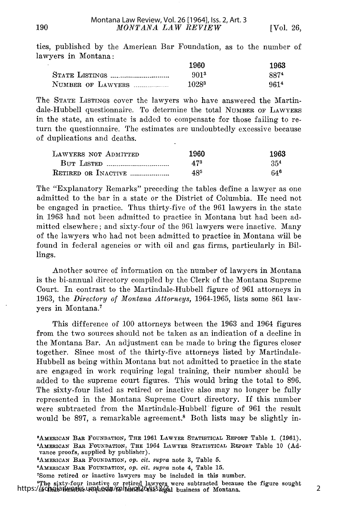ties, published by the American Bar Foundation, as to the number of lawyers in Montana:

|                   | 1960  | 1963 |
|-------------------|-------|------|
|                   | 9013  | 8874 |
| NUMBER OF LAWYERS | 10283 | 9614 |

The STATE LISTINGS cover the lawyers who have answered the Martindale-Hubbell questionnaire. To determine the total NUMBER OF LAWYERS in the state, an estimate is added to compensate for those failing to return the questionnaire. The estimates are undoubtedly excessive because of duplications and deaths.

| LAWYERS NOT ADMITTED | 1960 | 1963            |
|----------------------|------|-----------------|
| <b>BUT LISTED </b>   | 473  | 35 <sup>4</sup> |
| RETIRED OR INACTIVE  | 485  | 646             |

The "Explanatory Remarks" preceding the tables define a lawyer as one admitted to the bar in a state or the District of Columbia. He need not be engaged in practice. Thus thirty-five of the 961 lawyers in the state in 1963 had not been admitted to practice in Montana but had been admitted elsewhere; and sixty-four of the 961 lawyers were inactive. Many of the lawyers who had not been admitted to practice in Montana will be found in federal agencies or with oil and gas firms, particularly in Billings.

Another source of information on the number of lawyers in Montana is the bi-annual directory compiled by the Clerk of the Montana Supreme Court. In contrast to the Martindale-Hubbell figure of 961 attorneys in 1963, the *Directory of Montana Attorneys,* 1964-1965, lists some 861 lawyers in Montana.7

This difference of 100 attorneys between the 1963 and 1964 figures from the two sources should not be taken as an indication of a decline in the Montana Bar. An adjustment can be made to bring the figures closer together. Since most of the thirty-five attorneys listed by Martindale-Hubbell as being within Montana but not admitted to practice in the state are engaged in work requiring legal training, their number should be added to the supreme court figures. This would bring the total to 896. The sixty-four listed as retired or inactive also may no longer be fully represented in the Montana Supreme Court directory. If this number were subtracted from the Martindale-Hubbell figure of 961 the result would be 897, a remarkable agreement.<sup>8</sup> Both lists may be slightly in-

The sixty-four inactive or retired lawyers were subtracted because the figure sought https://scholarworks.umt.edu/mlr/vol26/iss2/3 https://scholara.

**<sup>8</sup>AmERicAw BAR FOUNDATION, THE 1961** LAWYER **STATISTICAL REPORT** Table **1.** (1961). **'AMERICAN BAR FOUNDATION, THE** 1964 **LAWYER STATISTICAL REPORT Table 10 (Advance** proofs, supplied **by** publisher). **<sup>5</sup>**

**AMERICAN** BAR **FOUNDATION,** *Op. cit. supra* note **3,** Table **5. <sup>6</sup>**

**AMERICAN BAR FOUNDATION, Op.** *cit. supra* note **4,** Table **15.**

<sup>&#</sup>x27;Some retired or inactive lawyers **may** be included **in** this number.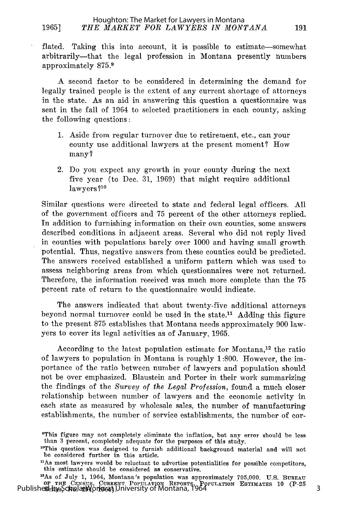#### 1965] *THE MARKET FOR LAWYERS IN MONTANA* 191 Houghton: The Market for Lawyers in Montana

flated. Taking this into account, it is possible to estimate-somewhat arbitrarily-that the legal profession in Montana presently numbers approximately 875.1

A second factor to be considered in determining the demand for legally trained people is the extent of any current shortage of attorneys in the state. As an aid in answering this question a questionnaire was sent in the fall of 1964 to selected practitioners in each county, asking the following questions:

- 1. Aside from regular turnover due to retirement, etc., can your county use additional lawyers at the present moment? How many?
- 2. Do you expect any growth in your county during the next five year (to Dec. 31, 1969) that might require additional lawyers **?1o**

Similar questions were directed to state and federal legal officers. All of the government officers and 75 percent of the other attorneys replied. In addition to furnishing information on their own counties, some answers described conditions in adjacent areas. Several who did not reply lived in counties with populations barely over 1000 and having small growth potential. Thus, negative answers from these counties could be predicted. The answers received established a uniform pattern which was used to assess neighboring areas from which questionnaires were not returned. Therefore, the information received was much more complete than the 75 percent rate of return to the questionnaire would indicate.

The answers indicated that about twenty-five additional attorneys beyond normal turnover could be used in the state.<sup>11</sup> Adding this figure to the present 875 establishes that Montana needs approximately 900 lawyers to cover its legal activities as of January, 1965.

According to the latest population estimate for Montana,<sup>12</sup> the ratio of lawyers to population in Montana is roughly 1:800. However, the importance of the ratio between number of lawyers and population should not be over emphasized. Blaustein and Porter in their work summarizing the findings of the *Survey of the Legal Profession,* found a much closer relationship between number of lawyers and the economic activity in each state as measured by wholesale sales, the number of manufacturing establishments, the number of service establishments, the number of cor-

<sup>&#</sup>x27;This figure may not completely eliminate the inflation, but any error should be less than 3 percent, completely adequate for the purposes of this study.

<sup>&</sup>quot;This question was designed to furnish additional background material and will not be considered further in this article.

<sup>&#</sup>x27;As most lawyers would be reluctant to advertise potentialities for possible competitors, this estimate should be considered as conservative.

<sup>&</sup>lt;sup>12</sup>As of July 1, 1964, Montana's population was approximately 705,000. U.S. BUREAU OF THE CENSUS, CURRENT POPULATION REPORTS, POPULATION ESTIMATES 10 (P-25<br>Publishere<sub>e</sub>by ScholarWorks at University of Montana, 1964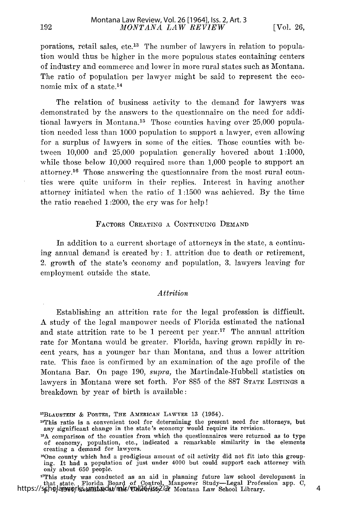192

porations, retail sales, etc.13 The number of lawyers in relation to population would thus be higher in the more populous states containing centers of industry and commerce and lower in more rural states such as Montana. The ratio of population per lawyer might be said to represent the economic mix of a state.14

The relation of business activity to the demand for lawyers was demonstrated by the answers to the questionnaire on the need for additional lawyers in Montana.<sup>15</sup> Those counties having over 25,000 population needed less than 1000 population to support a lawyer, even allowing for a surplus of lawyers in some of the cities. Those counties with between 10,000 and 25,000 population generally hovered about 1:1000, while those below 10,000 required more than 1,000 people to support an attorney. 16 Those answering the questionnaire from the most rural counties were quite uniform in their replies. Interest in having another attorney initiated when the ratio of 1:1500 was achieved. By the time the ratio reached 1:2000, the cry was for help!

#### **FACTORS CREATING A CONTINUING DEMAND**

In addition to a current shortage of attorneys in the state, a continuing annual demand is created by: 1. attrition due to death or retirement, 2. growth of the state's economy and population, 3. lawyers leaving for employment outside the state.

#### *Attrition*

Establishing an attrition rate for the legal profession is difficult. A study of the legal manpower needs of Florida estimated the national and state attrition rate to be 1 percent per year.<sup>17</sup> The annual attrition rate for Montana would be greater. Florida, having grown rapidly in recent years, has a younger bar than Montana, and thus a lower attrition rate. This face is confirmed by an examination of the age profile of the Montana Bar. On page 190, supra, the Martindale-Hubbell statistics on lawyers in Montana were set forth. For 885 of the 887 STATE LISTINGs a breakdown by year of birth is available:

"This study was conducted as an aid in planning future law school development in that state. Florida Board of Control, Manpower Study-Legal Profession app. C, https://scholarworks.umt.edu/mlr/vol26/iss2/3f Montana Law School Library.

<sup>&</sup>quot;BLAUSTEIN & PORTER, THE AMERICAN LAWYER 13 (1954).

<sup>&#</sup>x27; 4 This ratio is a convenient tool for determining the present need for attorneys, but any significant change in the state's economy would require its revision.

**<sup>5</sup>A** comparison of the counties from which the questionnaires were returned as to type of economy, population, etc., indicated a remarkable similarity in the elements creating a demand for lawyers.

<sup>&</sup>lt;sup>16</sup>One county which had a prodigious amount of oil activity did not fit into this grouping. It had a population of just under 4000 but could support each attorney with only about 650 people.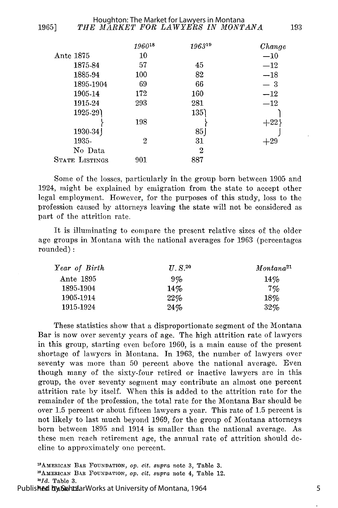|                       | 196018 | 196319 | Change |
|-----------------------|--------|--------|--------|
| Ante 1875             | $10\,$ |        | $-10$  |
| 1875-84               | 57     | 45     | $-12$  |
| 1885-94               | 100    | 82     | $-18$  |
| 1895-1904             | 69     | 66     | — 3    |
| 1905-14               | 172    | 160    | $-12$  |
| 1915-24               | 293    | 281    | $-12$  |
| 1925-29)              |        | 135)   |        |
|                       | 198    |        | $+22$  |
| 1930-34)              |        | 85     |        |
| 1935-                 | 2      | 31     | $+29$  |
| No Data               |        | 2      |        |
| <b>STATE LISTINGS</b> | 901    | 887    |        |
|                       |        |        |        |

Some of the losses, particularly in the group born between 1905 and 1924, might be explained by emigration from the state to accept other legal employment. However, for the purposes of this study, loss to the profession caused by attorneys leaving the state will not be considered as part of the attrition rate.

It is illuminating to compare the present relative sizes of the older age groups in Montana with the national averages for 1963 (percentages rounded):

| Year of Birth | $H.S.^{20}$ | Montana <sup>21</sup> |  |
|---------------|-------------|-----------------------|--|
| Ante 1895     | $9\%$       | 14%                   |  |
| 1895-1904     | 14%         | $7\%$                 |  |
| 1905-1914     | $22\%$      | 18%                   |  |
| 1915-1924     | 24%         | 32%                   |  |

These statistics show that a disproportionate segment of the Montana Bar is now over seventy years of age. The high attrition rate of lawyers in this group, starting even before 1960, is a main cause of the present shortage of lawyers in Montana. In 1963, the number of lawyers over seventy was more than 50 percent above the national average. Even though many of the sixty-four retired or inactive lawyers are in this group, the over seventy segment may contribute an almost one percent attrition rate by itself. When this is added to the attrition rate for the remainder of the profession, the total rate for the Montana Bar should be over 1.5 percent or about fifteen lawyers a year. This rate of 1.5 percent is not likely to last much beyond 1969, for the group of Montana attorneys born between 1895 and 1914 is smaller than the national average. As these men reach retirement age, the annual rate of attrition should decline to approximately one percent.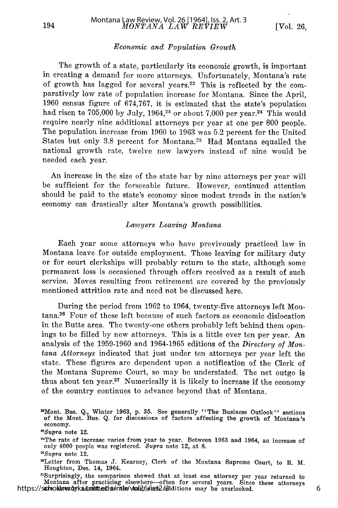#### *Economic and Population Growth*

The growth of a state, particularly its economic growth, is important in creating a demand for more attorneys. Unfortunately, Montana's rate of growth has lagged for several years.<sup>22</sup> This is reflected by the comparatively low rate of population increase for Montana. Since the April, 1960 census figure of 674,767, it is estimated that the state's population had risen to 705,000 by July, 1964,<sup>23</sup> or about 7,000 per year.<sup>24</sup> This would require nearly nine additional attorneys per year at one per 800 people. The population increase from 1960 to 1963 was 5.2 percent for the United States but only 3.8 percent for Montana.<sup>25</sup> Had Montana equalled the national growth rate, twelve new lawyers instead of nine would be needed each year.

An increase in the size of the state bar by nine attorneys per year will be sufficient for the forseeable future. However, continued attention should be paid to the state's economy since modest trends in the nation's economy can drastically alter Montana's growth possibilities.

#### *Lawyers Leaving Montana*

Each year some attorneys who have previvously practiced law in Montana leave for outside employment. Those leaving for military duty or for court clerkships will probably return to the state, although some permanent loss is occasioned through offers received as a result of such service. Moves resulting from retirement are covered by the previously mentioned attrition rate and need not be discussed here.

During the period from 1962 to 1964, twenty-five attorneys left Montana.26 Four of these left because of such factors as economic dislocation in the Butte area. The twenty-one others probably left behind them openings to be filled by new attorneys. This is a little over ten per year. An analysis of the 1959-1960 and 1964-1965 editions of the *Directory of Montana Attorneys* indicated that just under ten attorneys per year left the state. These figures are dependent upon a notification of the Clerk of the Montana Supreme Court, so may be understated. The net outgo is thus about ten year.27 Numerically it is likely to increase if the economy of the country continues to advance beyond that of Montana.

Montana after practicing elsewhere--often for several years. Since these attorneys are already and the bar, such admitted to the bar, such admitted to the bar, such admitted to the bar, such admitted to the bar, such admit https://schooldrevdyks.dumttedu/mlw/wol26/iss2/additions may be overlooked.

<sup>2</sup>Mont. Bus. *Q.,* Winter 1963, **p. 35.** See generally "The Business Outlook" sections of the Mont. Bus. Q. for discussions of factors affecting the growth of Montana's economy.

*<sup>2</sup>Supra* note 12.

<sup>21</sup>The rate of increase varies from year to year. Between 1963 and 1964, an increase of only 4000 people was registered. *Supra* note 12, at 8.

*Supra* note 12.

<sup>21</sup>Letter from Thomas J. Kearney, Clerk of the Montana Supreme Court, to R. M. Houghton, Dec. 14, 1964. -nSurprisingly, the comparison showed that at least one attorney per year returned to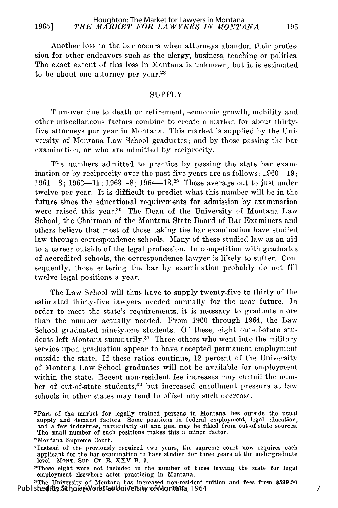Another loss to the bar occurs when attorneys abandon their profession for other endeavors such as the clergy, business, teaching or politics. The exact extent of this loss in Montana is unknown, but it is estimated to be about one attorney per year.<sup>2</sup>

#### **SUPPLY**

Turnover due to death or retirement, economic growth, mobility and other miscellaneous factors combine to create a market for about thirtyfive attorneys per year in Montana. This market is supplied by the University of Montana Law School graduates; and by those passing the bar examination, or who are admitted by reciprocity.

The numbers admitted to practice by passing the state bar examination or by reciprocity over the past five years are as follows:  $1960-19$ ; 1961-8; 1962-11; 1963-8; 1964-13.<sup>29</sup> These average out to just under twelve per year. It is difficult to predict what this number will be in the future since the educational requirements for admission by examination were raised this year.<sup>30</sup> The Dean of the University of Montana Law School, the Chairman of the Montana State Board of Bar Examiners and others believe that most of those taking the bar examination have studied law through correspondence schools. Many of these studied law as an aid to a career outside of the legal profession. In competition with graduates of accredited schools, the correspondence lawyer is likely to suffer. Consequently, those entering the bar by examination probably do not fill twelve legal positions a year.

The Law School will thus have to supply twenty-five to thirty of the estimated thirty-five lawyers needed annually for the near future. In order to meet the state's requirements, it is neessary to graduate more than the number actually needed. From 1960 through 1964, the Law School graduated ninety-one students. Of these, eight out-of-state students left Montana summarily.<sup>31</sup> Three others who went into the military service upon graduation appear to have accepted permanent employment outside the state. If these ratios continue, 12 percent of the University of Montana Law School graduates will not be available for employment within the state. Recent non-resident fee increases may curtail the number of out-of-state students,<sup>32</sup> but increased enrollment pressure at law schools in other states may tend to offset any such decrease.

31The University of Montana has increased non-resident tuition and fees from \$599.50 Publisheddby.ScholarWorkstattuniversity of Montana, 1964

<sup>2</sup>Part of the market for legally trained persons in Montana lies outside the usual supply and demand factors. Some positions in federal employment, legal education and a few industries, particularly oil and gas, may be filled from out-of-state sources.<br>The small number of such positions makes this a minor factor.

<sup>2</sup>Montana Supreme Court.

<sup>3°</sup>Instead of the previously required two years, the supreme court now requires each applicant for the bar examination to have studied for three years at the undergraduate level. **MONT.** SuP. **CT.** R. XXV **13.** 3.

aThese eight were not included in the number of those leaving the state for legal employment elsewhere after practicing in Montana.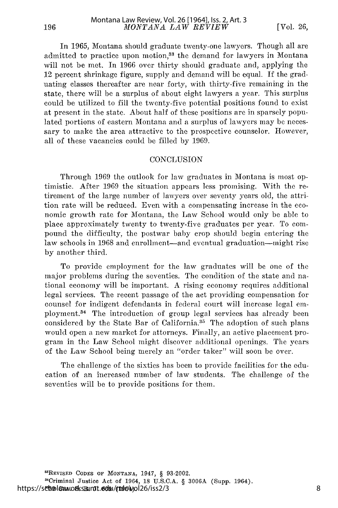In 1965, Montana should graduate twenty-one lawyers. Though all are admitted to practice upon motion,<sup>33</sup> the demand for lawyers in Montana will not be met. In 1966 over thirty should graduate and, applying the 12 percent shrinkage figure, supply and demand will be equal. If the graduating classes thereafter are near forty, with thirty-five remaining in the state, there will be a surplus of about eight lawyers a year. This surplus could be utilized to fill the twenty-five potential positions found to exist at present in the state. About half of these positions are in sparsely populated portions of eastern Montana and a surplus of lawyers may be necessary to make the area attractive to the prospective counselor. However, all of these vacancies could be filled by 1969.

#### **CONCLUSION**

Through 1969 the outlook for law graduates in Montana is most optimistic. After 1969 the situation appears less promising. With the retirement of the large number of lawyers over seventy years old, the attrition rate will be reduced. Even with a compensating increase in the economic growth rate for Montana, the Law School would only be able to place approximately twenty to twenty-five graduates per year. To compound the difficulty, the postwar baby crop should begin entering the law schools in 1968 and enrollment-and eventual graduation-might rise by another third.

To provide employment for the law graduates will be one of the major problems during the seventies. The condition of the state and national economy will be important. A rising economy requires additional legal services. The recent passage of the act providing compensation for counsel for indigent defendants in federal court will increase legal employment.<sup>34</sup> The introduction of group legal services has already been considered by the State Bar of California.<sup>35</sup> The adoption of such plans would open a new market for attorneys. Finally, an active placement program in the Law School might discover additional openings. The years of the Law School being merely an "order taker" will soon be over.

The challenge of the sixties has been to provide facilities for the education of an increased number of law students. The challenge of the seventies will be to provide positions for them.